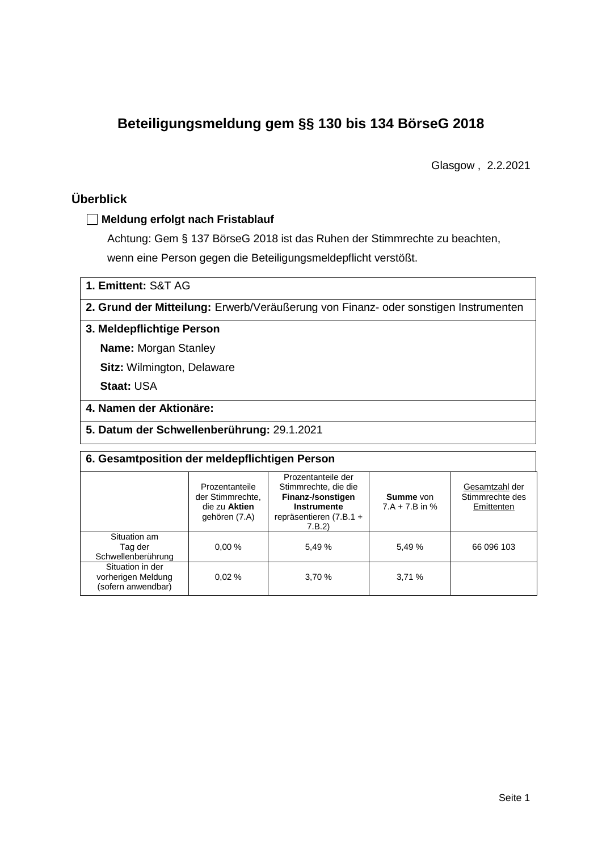# **Beteiligungsmeldung gem §§ 130 bis 134 BörseG 2018**

Glasgow , 2.2.2021

## **Überblick**

#### **Meldung erfolgt nach Fristablauf**

Achtung: Gem § 137 BörseG 2018 ist das Ruhen der Stimmrechte zu beachten, wenn eine Person gegen die Beteiligungsmeldepflicht verstößt.

**1. Emittent:** S&T AG

**2. Grund der Mitteilung:** Erwerb/Veräußerung von Finanz- oder sonstigen Instrumenten

#### **3. Meldepflichtige Person**

**Name:** Morgan Stanley

**Sitz:** Wilmington, Delaware

**Staat:** USA

#### **4. Namen der Aktionäre:**

**5. Datum der Schwellenberührung:** 29.1.2021

| 6. Gesamtposition der meldepflichtigen Person                |                                                                      |                                                                                                                      |                               |                                                 |  |  |  |
|--------------------------------------------------------------|----------------------------------------------------------------------|----------------------------------------------------------------------------------------------------------------------|-------------------------------|-------------------------------------------------|--|--|--|
|                                                              | Prozentanteile<br>der Stimmrechte.<br>die zu Aktien<br>gehören (7.A) | Prozentanteile der<br>Stimmrechte, die die<br>Finanz-/sonstigen<br>Instrumente<br>repräsentieren $(7.B.1 +$<br>7.B.2 | Summe von<br>$7.A + 7.B$ in % | Gesamtzahl der<br>Stimmrechte des<br>Emittenten |  |  |  |
| Situation am<br>Tag der<br>Schwellenberührung                | 0.00%                                                                | 5.49 %                                                                                                               | 5.49 %                        | 66 096 103                                      |  |  |  |
| Situation in der<br>vorherigen Meldung<br>(sofern anwendbar) | 0.02%                                                                | 3.70 %                                                                                                               | 3,71%                         |                                                 |  |  |  |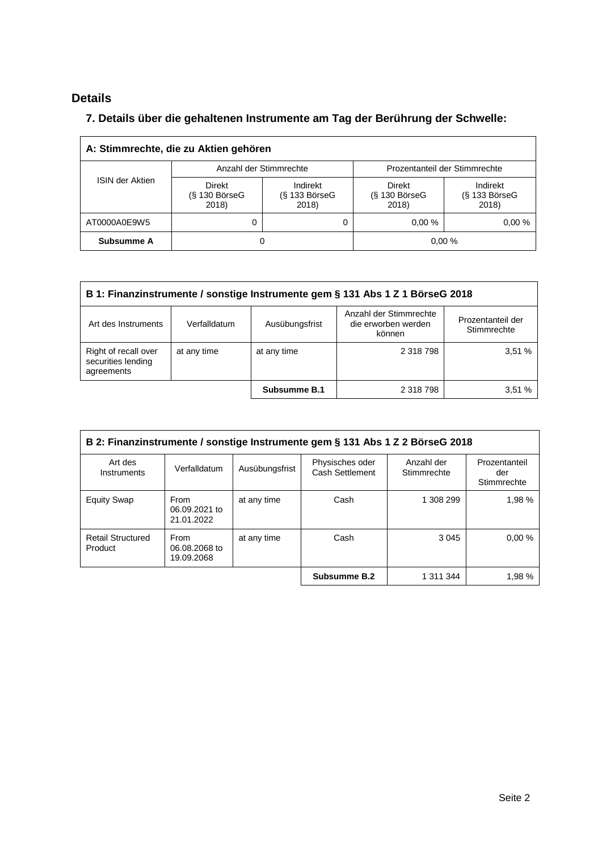## **Details**

 $\overline{\Gamma}$ 

### **7. Details über die gehaltenen Instrumente am Tag der Berührung der Schwelle:**

| A: Stimmrechte, die zu Aktien gehören |                                           |                                      |                                       |                                      |  |  |
|---------------------------------------|-------------------------------------------|--------------------------------------|---------------------------------------|--------------------------------------|--|--|
| <b>ISIN der Aktien</b>                | Anzahl der Stimmrechte                    |                                      | Prozentanteil der Stimmrechte         |                                      |  |  |
|                                       | <b>Direkt</b><br>$(S$ 130 BörseG<br>2018) | Indirekt<br>$(S$ 133 BörseG<br>2018) | Direkt<br>$(S$ 130 Börse $G$<br>2018) | Indirekt<br>$(S$ 133 BörseG<br>2018) |  |  |
| AT0000A0E9W5                          | 0                                         |                                      | 0.00%                                 | 0.00%                                |  |  |
| Subsumme A                            | O                                         |                                      | 0,00%                                 |                                      |  |  |

| B 1: Finanzinstrumente / sonstige Instrumente gem § 131 Abs 1 Z 1 BörseG 2018                                                                        |             |              |           |        |  |  |
|------------------------------------------------------------------------------------------------------------------------------------------------------|-------------|--------------|-----------|--------|--|--|
| Anzahl der Stimmrechte<br>Prozentanteil der<br>die erworben werden<br>Art des Instruments<br>Verfalldatum<br>Ausübungsfrist<br>Stimmrechte<br>können |             |              |           |        |  |  |
| Right of recall over<br>securities lending<br>agreements                                                                                             | at any time | at any time  | 2 318 798 | 3,51 % |  |  |
|                                                                                                                                                      |             | Subsumme B.1 | 2 318 798 | 3.51%  |  |  |

| B 2: Finanzinstrumente / sonstige Instrumente gem § 131 Abs 1 Z 2 BörseG 2018 |                                     |                |                                    |                           |                                     |  |
|-------------------------------------------------------------------------------|-------------------------------------|----------------|------------------------------------|---------------------------|-------------------------------------|--|
| Art des<br>Instruments                                                        | Verfalldatum                        | Ausübungsfrist | Physisches oder<br>Cash Settlement | Anzahl der<br>Stimmrechte | Prozentanteil<br>der<br>Stimmrechte |  |
| <b>Equity Swap</b>                                                            | From<br>06.09.2021 to<br>21.01.2022 | at any time    | Cash                               | 1 308 299                 | 1.98%                               |  |
| <b>Retail Structured</b><br>Product                                           | From<br>06.08.2068 to<br>19.09.2068 | at any time    | Cash                               | 3 0 4 5                   | 0.00%                               |  |
|                                                                               |                                     |                | Subsumme B.2                       | 1 311 344                 | 1.98%                               |  |

 $\overline{\phantom{0}}$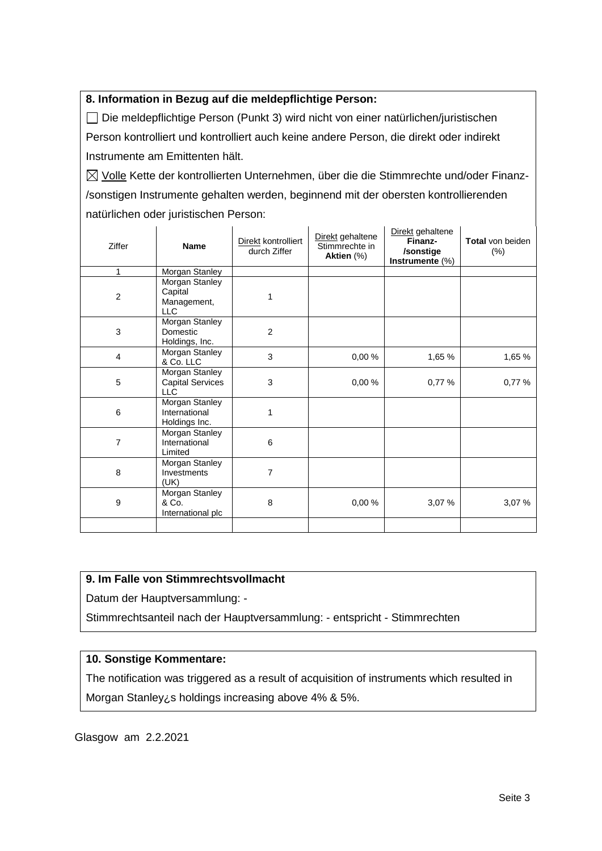#### **8. Information in Bezug auf die meldepflichtige Person:**

Die meldepflichtige Person (Punkt 3) wird nicht von einer natürlichen/juristischen Person kontrolliert und kontrolliert auch keine andere Person, die direkt oder indirekt Instrumente am Emittenten hält.

 $\boxtimes$  Volle Kette der kontrollierten Unternehmen, über die die Stimmrechte und/oder Finanz-/sonstigen Instrumente gehalten werden, beginnend mit der obersten kontrollierenden natürlichen oder juristischen Person:

| Ziffer         | <b>Name</b>                                             | Direkt kontrolliert<br>durch Ziffer | Direkt gehaltene<br>Stimmrechte in<br>Aktien (%) | Direkt gehaltene<br>Finanz-<br>/sonstige<br>Instrumente (%) | Total von beiden<br>(%) |
|----------------|---------------------------------------------------------|-------------------------------------|--------------------------------------------------|-------------------------------------------------------------|-------------------------|
| 1              | Morgan Stanley                                          |                                     |                                                  |                                                             |                         |
| $\overline{c}$ | Morgan Stanley<br>Capital<br>Management,<br>LLC         | 1                                   |                                                  |                                                             |                         |
| 3              | Morgan Stanley<br>Domestic<br>Holdings, Inc.            | $\overline{2}$                      |                                                  |                                                             |                         |
| 4              | Morgan Stanley<br>& Co. LLC                             | 3                                   | 0,00%                                            | 1,65 %                                                      | 1,65 %                  |
| 5              | Morgan Stanley<br><b>Capital Services</b><br><b>LLC</b> | 3                                   | 0,00%                                            | 0,77%                                                       | 0,77%                   |
| 6              | Morgan Stanley<br>International<br>Holdings Inc.        | 1                                   |                                                  |                                                             |                         |
| 7              | Morgan Stanley<br>International<br>Limited              | 6                                   |                                                  |                                                             |                         |
| 8              | Morgan Stanley<br>Investments<br>(UK)                   | 7                                   |                                                  |                                                             |                         |
| 9              | Morgan Stanley<br>& Co.<br>International plc            | 8                                   | 0,00%                                            | 3,07 %                                                      | 3,07 %                  |
|                |                                                         |                                     |                                                  |                                                             |                         |

#### **9. Im Falle von Stimmrechtsvollmacht**

Datum der Hauptversammlung: -

Stimmrechtsanteil nach der Hauptversammlung: - entspricht - Stimmrechten

#### **10. Sonstige Kommentare:**

The notification was triggered as a result of acquisition of instruments which resulted in Morgan Stanley¿s holdings increasing above 4% & 5%.

Glasgow am 2.2.2021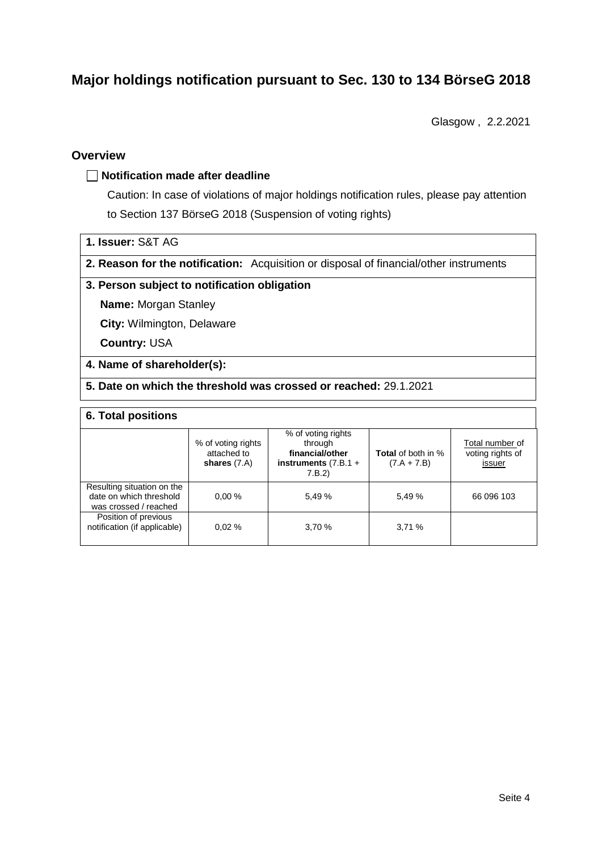# **Major holdings notification pursuant to Sec. 130 to 134 BörseG 2018**

Glasgow , 2.2.2021

#### **Overview**

#### **Notification made after deadline**

Caution: In case of violations of major holdings notification rules, please pay attention to Section 137 BörseG 2018 (Suspension of voting rights)

|  |  | 1. Issuer: S&T AG |  |  |
|--|--|-------------------|--|--|
|--|--|-------------------|--|--|

**2. Reason for the notification:** Acquisition or disposal of financial/other instruments

#### **3. Person subject to notification obligation**

**Name:** Morgan Stanley

**City:** Wilmington, Delaware

**Country:** USA

#### **4. Name of shareholder(s):**

**5. Date on which the threshold was crossed or reached:** 29.1.2021

#### **6. Total positions**

|                                                                                | % of voting rights<br>attached to<br>shares $(7.A)$ | % of voting rights<br>through<br>financial/other<br>instruments $(7.B.1 +$<br>7.B.2 | <b>Total</b> of both in %<br>$(7.A + 7.B)$ | Total number of<br>voting rights of<br>issuer |
|--------------------------------------------------------------------------------|-----------------------------------------------------|-------------------------------------------------------------------------------------|--------------------------------------------|-----------------------------------------------|
| Resulting situation on the<br>date on which threshold<br>was crossed / reached | 0.00%                                               | 5.49 %                                                                              | 5,49 %                                     | 66 096 103                                    |
| Position of previous<br>notification (if applicable)                           | 0.02%                                               | 3.70 %                                                                              | 3,71%                                      |                                               |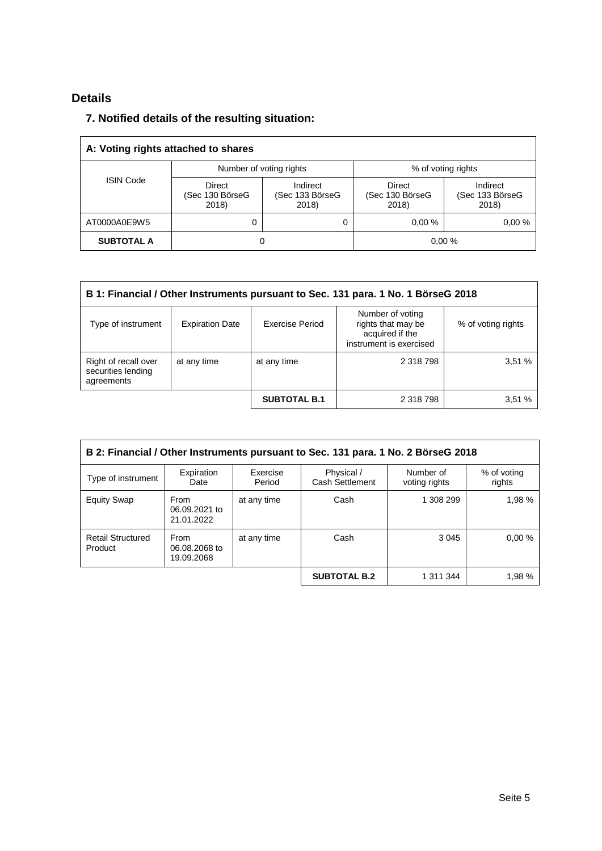## **Details**

### **7. Notified details of the resulting situation:**

| A: Voting rights attached to shares |                                           |                                      |                                    |                                      |  |  |
|-------------------------------------|-------------------------------------------|--------------------------------------|------------------------------------|--------------------------------------|--|--|
|                                     | Number of voting rights                   |                                      | % of voting rights                 |                                      |  |  |
| <b>ISIN Code</b>                    | <b>Direct</b><br>(Sec 130 BörseG<br>2018) | Indirect<br>(Sec 133 BörseG<br>2018) | Direct<br>(Sec 130 BörseG<br>2018) | Indirect<br>(Sec 133 BörseG<br>2018) |  |  |
| AT0000A0E9W5                        | 0                                         | 0                                    | 0.00%                              | 0.00%                                |  |  |
| <b>SUBTOTAL A</b>                   | 0                                         |                                      | 0,00%                              |                                      |  |  |

| B 1: Financial / Other Instruments pursuant to Sec. 131 para. 1 No. 1 BörseG 2018                                                                                             |             |                     |           |       |  |  |
|-------------------------------------------------------------------------------------------------------------------------------------------------------------------------------|-------------|---------------------|-----------|-------|--|--|
| Number of voting<br>rights that may be<br>Exercise Period<br><b>Expiration Date</b><br>Type of instrument<br>% of voting rights<br>acquired if the<br>instrument is exercised |             |                     |           |       |  |  |
| Right of recall over<br>securities lending<br>agreements                                                                                                                      | at any time | at any time         | 2 318 798 | 3,51% |  |  |
|                                                                                                                                                                               |             | <b>SUBTOTAL B.1</b> | 2 318 798 | 3.51% |  |  |

| B 2: Financial / Other Instruments pursuant to Sec. 131 para. 1 No. 2 BörseG 2018 |                                     |                    |                               |                            |                       |  |
|-----------------------------------------------------------------------------------|-------------------------------------|--------------------|-------------------------------|----------------------------|-----------------------|--|
| Type of instrument                                                                | Expiration<br>Date                  | Exercise<br>Period | Physical /<br>Cash Settlement | Number of<br>voting rights | % of voting<br>rights |  |
| <b>Equity Swap</b>                                                                | From<br>06.09.2021 to<br>21.01.2022 | at any time        | Cash                          | 1 308 299                  | 1,98 %                |  |
| <b>Retail Structured</b><br>Product                                               | From<br>06.08.2068 to<br>19.09.2068 | at any time        | Cash                          | 3 0 4 5                    | 0.00%                 |  |
|                                                                                   |                                     |                    | <b>SUBTOTAL B.2</b>           | 1 311 344                  | 1,98 %                |  |